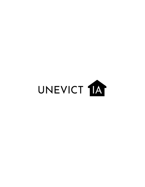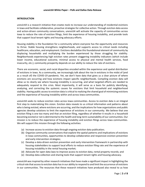#### **INTRODUCTION**

*unevictIA* is a research initiative that creates tools to increase our understanding of residential evictions in Iowa and facilitate collaborative, proactive strategies for collective action. Through eviction data access and action-driven community conversations, *unevictIA* will activate the capacity of communities across Iowa to reduce the rate of eviction filings, limit the experience of housing instability, and provide tools that support local tenant rights and housing advocacy efforts.

Housing stability is the foundation for a community where everyone has the opportunity and resources to thrive. Stable housing strengthens neighborhoods, and supports access to critical needs including healthcare, education, and employment. Evictions destabilize this foundational element of community by displacing households and multiplying the burden experienced by those struggling for stability. Neighborhoods experiencing high eviction rates present staggering instability indicators (which include lower income, educational outcome, minimal access to physical and mental health services, food insecurity, etc.); community prosperity depends on our ability to reduce the rate of evictions.

There are economic, social, and racial disparities encoded within the experience and spatial distribution of evictions in Iowa. As a community, we increasingly talk about the rise in evictions in the midst of (and as a result of) the COVID-19 pandemic. Yet, we don't have data that gives us a clear picture of where evictions are occurring and how evictions impact specific neighborhoods. Compiling eviction data will allow us to clearly see where housing instability is occurring, and what targeted efforts are needed to adequately respond to this crisis. Most importantly, it will serve as a basis for publicly identifying, analyzing, and correcting the systemic causes for evictions that limit household and neighborhood stability. Having public access to eviction data is critical to realizing the shared goal of minimizing evictions and the experience of housing instability within and across Iowa communities.

*unevictIA* seeks to reduce eviction rates across Iowa communities. Access to eviction data is an integral first step to materializing this vision. Eviction data reveals to us critical information and patterns about who is being evicted, where evictions are occurring, and the implications for how organizations and public agencies develop solutions to limit the experience of evictions in our community. We believe that one eviction filing is one too many and that an eviction filing, regardless of whether it results in a household becoming evicted or not is detrimental to the health and long-term sustainability of our communities. Our mission is to reduce the experience of housing instability and eviction filings across Iowa communities. We will support this mission through the following activities:

- (a) Increase access to eviction data through ongoing eviction data publication;
- (b) Organize community conversations that explore the spatial patterns and implications of evictions in Iowa communities, opportunities to develop collaborative and responsive eviction prevention and early intervention strategies;
- (c) Develop a data-driven eviction prevention and early intervention framework in partnership with housing stakeholders to support local efforts to reduce eviction filing rate and the experience of housing instability in the rental housing market;
- (d) Advocate for open data laws to improve access to eviction data, rental property records; and
- (e) Develop data collection and sharing tools that support tenant rights and housing advocacy.

*unevictIA* was inspired by other research initiatives that have made a significant impact in highlighting the critical role that access to eviction data has in our ability to respond to and limit the occurrence of evictions in our communities. The resources that these research initiatives have produced also reveal to us how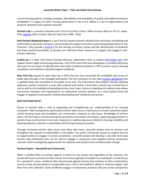#### *unevictIA* **White Paper – Polk and Dallas Data Release**

current housing policies, funding strategies, affordability and availability of quality and stable housing are embedded in a legacy of unfair housing governance in the U.S.A. Below is a list of organizations and research initiatives that inspired *unevictIA*:

**Eviction Lab** is a research initiative and a first of its kind in that it offers eviction data for all U.S. states. Thei[r website](https://evictionlab.org/) offers eviction data for Iowa from 2000 - 2016.

**Anti-Eviction Mapping Project** is a San Francisco based research initiative that centralizes storytelling and multimedia to document evictions, communicate the impact of evictions and housing displacement in San Francisco. They provide a [platform](https://antievictionmap.com/) for the sharing of eviction stories and the identification of landlords that have evicted households, so tenants can reference these resources to support and engage in antieviction advocacy.

**JustFix.nyc** is a New York based housing advocacy organization that co-creates [technology tools](https://www.justfix.nyc/en/) that support tenant rights and housing advocacy. One of the tools they have developed is a landlord directory that users to can access to identify who owns what residential property in NYC as well as access housing complaints and violations submitted against landlords.

**New York City** passed an open data law in 2012 that has since increased the availability and access to public data through a City managed web portal. The City maintains its own data [eviction dashboard](https://data.cityofnewyork.us/City-Government/Evictions/6z8x-wfk4) that is updated daily and accessible to the public at no cost. The information they publish includes dwelling addresses, parties involved in a case, date initiated and closed, if and when a tenant was evicted from a unit as well as all scheduled and pending eviction court cases. Access to dwelling unit address data allows community members and organizations to understand eviction patterns at a micro-spatial level and engage in targeted and proactive relationship building with landlords and tenants.

# **WHY EVICTION DATA?**

Access to eviction data is vital to expanding and strengthening our understanding of our housing ecosystem. Data transparency, particularly eviction data access is necessary to increase awareness about critical housing issues and strengthen our community's response to said issues. Knowledge of eviction data is the first step to communicating the prevalence and impact of evictions, exploring opportunities to position Iowa communities to be more responsive in addressing issues related to housing instability and planning ahead to cultivate a sustainable and thriving housing ecosystem.

Through increased eviction data access and other data tools, *unevictIA* project aims to connect and strengthen the capacity of stakeholders in the public, non-profit, and private sectors to explore and act on opportunities to engage in eviction prevention. *unevictIA* project will develop a zip-code level Iowa eviction data dashboard that can be used to engage in responsive and targeted eviction prevention outreach while investigating opportunities for advocacy and systems level transformative change.

# *Eviction Impact - Household and Community*

When a landlord files an eviction against a tenant for any reason and regardless of the outcome, the tenant will have an eviction on their record. An eviction typically is included in an individual's rental history for a period of 7 years. Landlords often discriminate against tenants that evictions on their rental history record as they are perceived as irresponsible and a risk to the landlord's ability to maintain regular cash flow from rent collection. Some landlords engage in exclusionary practices that pre-screen prospective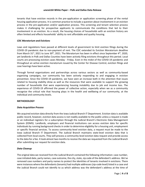tenants that have eviction records in the pre-application or application screening phase of the rental housing application process. It is common practice to include a question about involvement in an eviction process in the pre-application and/or application process. This screening and tenant selection process makes it challenging for prospective applicants to communicate the conditions that led to their involvement in an eviction. As a result, the housing choices of households with an eviction history are often limited and effects households' ability to rent affordable and quality housing.

## *CDC Moratorium and Evictions*

Laws and regulations have passed at different levels of government to limit eviction filings during the COVID-19 pandemic due to non-payment of rent. The CDC extended its Eviction Moratorium deadline from March 31<sup>st</sup>, 2021 to June 30<sup>th</sup>, 2021. The Moratorium has been in effect since September 4<sup>th</sup>, 2020, yet landlords in Polk and Dallas Counties have been actively filing evictions throughout this period. Local courts are processing eviction cases Monday - Friday. Even in the midst of the COVID-19 pandemic and throughout an active eviction moratorium issued by the Center for Disease Control, eviction filings and case hearings have been active.

Through formal organizations and partnerships across various sectors as well as community-based organizing campaigns, our community has been actively responding to and engaging in eviction prevention. Since the COVID-19 pandemic, we have seen an increase both in the attention that issues related to housing stability drew as well as the resources that were available to support the growing number of households that were experiencing housing instability due to job and income loss. The experience of COVID-19 affirmed the power of collective action, especially when we as a community recognize the critical role that housing plays in the health and wellbeing of our community, at the individual and community levels.

# **METHODOLOGY**

#### *Data Acquisition Process*

We acquired eviction data directly from the Iowa Judicial Branch IT Department. Eviction data is available public record, however, eviction data access is not readily available to the public unless a request is made or an individual registers for a subscription through the Judicial Branch's Electronic Data Management System (EDMS). Landlords, employers and financial institutions can access eviction data for specific individuals by running background checks in order to determine eligibility for a housing unit, employment or specific financial services. To access community-level eviction data, a request must be made to the Iowa Judicial Branch IT Department. The Judicial Branch maintains state-level eviction data that is collected from local courts. They will process a community-level eviction data request and provide access to the data for a fee. It took almost two months to receive the data we requested from the Judicial Branch after submitting our request for eviction data.

# *Data Cleanup*

The original data we received from the Judicial Branch contained the following information: case number, case initiated date, party names, case outcome, the city, state, zip code of the defendant's address. We've removed case numbers and party names to protect the identities of tenants involved in evictions. There were instances where the defendants (tenants) had multiple addresses (zip-code level) listed in a case and the Judicial Branch could not identify to us which address was the defendant's address at the time of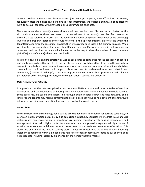eviction case filing and which was the new address (not owned/managed by plaintiff/landlord). As a result, for eviction cases we did not have definitive zip-code information, we created a dummy zip code category (999) to account for cases with unavailable or unconfirmed zip-code data.

There are cases where tenant(s) moved since an eviction case had been filed and in such instances, the zip code information for those cases were of the new address of the tenant(s). We identified these cases through a cross-referencing process that included a combination of a general web search of the landlord(s) involved and property searches. If we could not confirm the zip code information for a case where the tenant(s) moved since the case initiation date, then we assigned such cases a 999 dummy zip code. When we identified instances where the same plaintiff(s) and defendant(s) were involved in multiple eviction cases, we used the oldest case and added a feature on the map to show the number of cases the same plaintiff(s) and defendant(s) have been involved in.

We plan to develop a landlord directory as well as seek other opportunities for the collection of housing unit level eviction data. Our intent is to provide the community with tools that strengthen the capacity to engage in targeted and proactive eviction prevention and intervention strategies. Information on building ownership and unit addresses will support this as we need to understand who owns what in our community (residential buildings), so we can engage in conversations about prevention and cultivate partnerships across housing providers, service organizations, tenants and advocates.

## *Data Accuracy and Integrity*

It is possible that the data we gained access to is not 100% accurate and representative of eviction occurrences and the experience of housing instability across Iowa communities for multiple reasons. Some cases may be sealed and inaccessible through public records search and data requests. Some landlords and tenants may reach a settlement to break a lease early due to non-payment of rent through informal proceedings and mediation that does not involve the court system.

# *Census Data*

We draw from key Census demographic data to provide additional information for each zip code area, so users can explore eviction data side-by-side demographic data. Key variables we integrate in our analysis include renter-homeownership ratio, population size, income, education levels, housing vacancy rate, and average rent. Areas with higher renter to homeownership rate generally experienced higher rates of evictions whereas areas with lower renter to homeowner ratio experienced lower rates of evictions. This study tells one side of the housing stability story. It does not reveal to us the extent of overall housing instability experienced within a zip-code area regardless of renter-homeowner ratio as our analysis does not account for housing instability experienced in the homeownership market.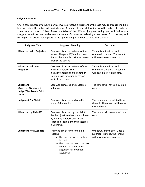# *Judgment Results*

After a case is heard by a judge, parties involved receive a judgment or the case may go through multiple hearings before the judge orders a judgment. A judgment ruling determines who the judge rules in favor of and what actions to follow. Below is a table of the different judgment rulings you will find as you navigate the eviction map and review the details of a case after selecting a case marker from the map and clicking on the arrow that appears to the right of the pop-up box to review case details.

| <b>Judgment Type</b>                                                                 | <b>Judgment Meaning</b>                                                                                                                                                                                  | <b>Outcome</b>                                                                                |
|--------------------------------------------------------------------------------------|----------------------------------------------------------------------------------------------------------------------------------------------------------------------------------------------------------|-----------------------------------------------------------------------------------------------|
| <b>Dismissed With Prejudice</b>                                                      | Case was dismissed in favor of the<br>tenant. The plaintiff/landlord cannot<br>file another case for a similar reason<br>against the tenant.                                                             | Tenant is not evicted and<br>remains in the unit. The tenant<br>will have an eviction record. |
| <b>Dismissed Without</b><br>Prejudice                                                | Case was dismissed in favor of the<br>plaintiff/landlord. The<br>plaintiff/landlord can file another<br>eviction case for a similar reason<br>against the tenant.                                        | Tenant is not evicted and<br>remains in the unit. The tenant<br>will have an eviction record. |
| Judgment<br><b>Ordered/Dismissed by</b><br>Judge/Dismissed - Fail to<br><b>Serve</b> | Case was dismissed and outcome<br>unknown.                                                                                                                                                               | The tenant will have an eviction<br>record.                                                   |
| <b>Judgment For Plaintiff</b>                                                        | Case was dismissed and ruled in<br>favor of the landlord.                                                                                                                                                | The tenant can be evicted from<br>the unit. The tenant will have an<br>eviction record.       |
| <b>Dismissed by Plaintiff</b>                                                        | Case was dismissed by the plaintiff<br>(landlord) before the case was heard<br>by a judge; landlord and tenant<br>reached a settlement and outcome<br>is unknown.                                        | The tenant will have an eviction<br>record.                                                   |
| <b>Judgment Not Available</b>                                                        | This type can occur for multiple<br>reasons:<br>(a) The case has yet to be heard<br>in court<br>(b) The court has heard the case<br>but it is still active and a<br>judgment has not been<br>issued yet. | Unknown/unavailable. Once a<br>judgment is made, the tenant<br>will have an eviction record.  |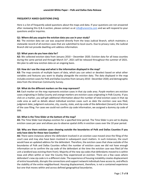## **FREQUENTLY ASKED QUESTIONS (FAQ)**

Here is a list of frequently asked questions about the maps and data. If your questions are not answered after reviewing this Q & A section, please contact us at  $info@unevictia.com$  and we will respond to your questions and/or inquiries.

#### **Q1: Where did you acquire the eviction data you use in your study?**

**A1:** The eviction data we use was acquired directly from the Iowa Judicial Branch, which maintains a statewide record of all eviction cases that are submitted to local courts. Due to privacy rules, the Judicial Branch did not provide dwelling unit address information.

## **Q2: What years do you have data for?**

**A2:** We collected eviction data from January 2010 – December 2020. Eviction data for all Iowa counties during the same period and through March 31<sup>st</sup>, 2021 will be released throughout the summer of 2021. We plan to add new eviction data on an ongoing basis.

## **Q3: How do I use the map and what is the information displayed in the map?**

**A3:** The map consists of multiple layers of data, which you can select or deselect based on what other variables and features you want to display alongside the eviction data. The data displayed in the map includes eviction cases for Polk and Dallas Counties from January 2010 - December 2020; and demographic data from the American Community Survey.

## **Q4**: **What do the different markers on the map represent?**

**A4:** Each marker on the map represents eviction cases in that zip code area. *Purple markers* are eviction cases originating in Dallas County and *orange markers* are eviction cases originating in Polk County. If you click on a marker, you will get additional information about the number of total eviction cases in that zip code area as well as details about individual eviction cases such as date the eviction case was filed, judgment date, judgment outcome, city, county, state, and zip-code of the defendant (tenant) at the time of the case filing. For cases we could not confirm zip code information, we assigned a dummy zip code of 999.

#### **Q5: What is the Time Slider at the bottom of the map?**

**A5:** The Time Slider tool displays eviction for a specified time period. The Time Slider is pre-set to display eviction cases per year and allows you to observe spatial shifts in eviction cases over the 10 year period.

# **Q6: Why are there eviction cases showing outside the boundaries of Polk and Dallas Counties if you only have data for these two Counties?**

**A6:** There were instances where the defendant involved in an eviction case moved since the filing of the court case and may also have been involved in subsequent court matters. In such instances, the court would have an updated address for the defendant. Therefore, the eviction cases that show outside of the boundaries of Polk and Dallas Counties reflect the number of eviction cases we did not have enough information on to confirm the zip code of the defendant at the time the eviction case was filed (of the unit a landlord was evicting them from). Majority of the new zip codes that defendants moved to is within Iowa and often within or near the County they experienced an eviction. There are a few cases where defendant's new zip code is in a different state. The experience of housing instability creates displacement of entire households, disrupts the connections and support network individuals have access to, and effects the stability of the entire neighborhood. Housing displacement, therefore, is not a contained experience but one that moves within and across defined geographical boundaries.